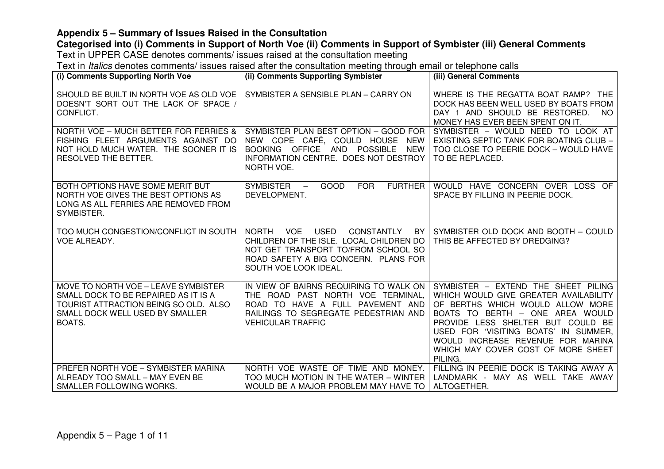## **Categorised into (i) Comments in Support of North Voe (ii) Comments in Support of Symbister (iii) General Comments**

Text in UPPER CASE denotes comments/ issues raised at the consultation meeting

| (i) Comments Supporting North Voe                                                                                                                                 | (ii) Comments Supporting Symbister                                                                                                                                                                                      | (iii) General Comments                                                                                                                                                                                                                                                                                                 |
|-------------------------------------------------------------------------------------------------------------------------------------------------------------------|-------------------------------------------------------------------------------------------------------------------------------------------------------------------------------------------------------------------------|------------------------------------------------------------------------------------------------------------------------------------------------------------------------------------------------------------------------------------------------------------------------------------------------------------------------|
| SHOULD BE BUILT IN NORTH VOE AS OLD VOE<br>DOESN'T SORT OUT THE LACK OF SPACE /<br>CONFLICT.                                                                      | SYMBISTER A SENSIBLE PLAN - CARRY ON                                                                                                                                                                                    | WHERE IS THE REGATTA BOAT RAMP? THE<br>DOCK HAS BEEN WELL USED BY BOATS FROM<br>DAY 1 AND SHOULD BE RESTORED.<br>NO.<br>MONEY HAS EVER BEEN SPENT ON IT.                                                                                                                                                               |
| NORTH VOE - MUCH BETTER FOR FERRIES &<br>FISHING FLEET ARGUMENTS AGAINST DO<br>NOT HOLD MUCH WATER. THE SOONER IT IS<br>RESOLVED THE BETTER.                      | SYMBISTER PLAN BEST OPTION - GOOD FOR<br>NEW COPE CAFÉ, COULD HOUSE<br>NEW<br>BOOKING OFFICE AND POSSIBLE<br><b>NEW</b><br>INFORMATION CENTRE. DOES NOT DESTROY<br>NORTH VOE.                                           | SYMBISTER - WOULD NEED TO LOOK AT<br>EXISTING SEPTIC TANK FOR BOATING CLUB -<br>TOO CLOSE TO PEERIE DOCK - WOULD HAVE<br>TO BE REPLACED.                                                                                                                                                                               |
| BOTH OPTIONS HAVE SOME MERIT BUT<br>NORTH VOE GIVES THE BEST OPTIONS AS<br>LONG AS ALL FERRIES ARE REMOVED FROM<br>SYMBISTER.                                     | <b>FURTHER</b><br><b>SYMBISTER</b><br>GOOD<br><b>FOR</b><br>$\overline{\phantom{m}}$<br>DEVELOPMENT.                                                                                                                    | WOULD HAVE CONCERN OVER LOSS OF<br>SPACE BY FILLING IN PEERIE DOCK.                                                                                                                                                                                                                                                    |
| TOO MUCH CONGESTION/CONFLICT IN SOUTH<br><b>VOE ALREADY.</b>                                                                                                      | <b>USED</b><br><b>NORTH</b><br><b>VOE</b><br><b>CONSTANTLY</b><br>BY<br>CHILDREN OF THE ISLE. LOCAL CHILDREN DO<br>NOT GET TRANSPORT TO/FROM SCHOOL SO<br>ROAD SAFETY A BIG CONCERN. PLANS FOR<br>SOUTH VOE LOOK IDEAL. | SYMBISTER OLD DOCK AND BOOTH - COULD<br>THIS BE AFFECTED BY DREDGING?                                                                                                                                                                                                                                                  |
| MOVE TO NORTH VOE - LEAVE SYMBISTER<br>SMALL DOCK TO BE REPAIRED AS IT IS A<br>TOURIST ATTRACTION BEING SO OLD. ALSO<br>SMALL DOCK WELL USED BY SMALLER<br>BOATS. | IN VIEW OF BAIRNS REQUIRING TO WALK ON<br>THE ROAD PAST NORTH VOE TERMINAL,<br>ROAD TO HAVE A FULL PAVEMENT AND<br>RAILINGS TO SEGREGATE PEDESTRIAN AND<br><b>VEHICULAR TRAFFIC</b>                                     | SYMBISTER - EXTEND THE SHEET PILING<br>WHICH WOULD GIVE GREATER AVAILABILITY<br>OF BERTHS WHICH WOULD ALLOW MORE<br>BOATS TO BERTH - ONE AREA WOULD<br>PROVIDE LESS SHELTER BUT COULD BE<br>USED FOR 'VISITING BOATS' IN SUMMER,<br>WOULD INCREASE REVENUE FOR MARINA<br>WHICH MAY COVER COST OF MORE SHEET<br>PILING. |
| PREFER NORTH VOE - SYMBISTER MARINA<br>ALREADY TOO SMALL - MAY EVEN BE<br>SMALLER FOLLOWING WORKS.                                                                | NORTH VOE WASTE OF TIME AND MONEY.<br>TOO MUCH MOTION IN THE WATER - WINTER<br>WOULD BE A MAJOR PROBLEM MAY HAVE TO                                                                                                     | FILLING IN PEERIE DOCK IS TAKING AWAY A<br>LANDMARK - MAY AS WELL TAKE AWAY<br>ALTOGETHER.                                                                                                                                                                                                                             |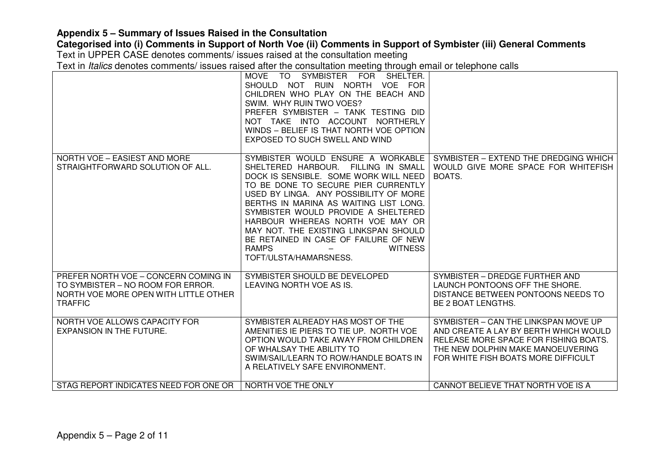### **Categorised into (i) Comments in Support of North Voe (ii) Comments in Support of Symbister (iii) General Comments**

Text in UPPER CASE denotes comments/ issues raised at the consultation meeting

|                                                                                                                                      | MOVE TO SYMBISTER FOR SHELTER.<br>SHOULD NOT RUIN NORTH VOE FOR<br>CHILDREN WHO PLAY ON THE BEACH AND<br>SWIM. WHY RUIN TWO VOES?<br>PREFER SYMBISTER - TANK TESTING DID<br>NOT TAKE INTO ACCOUNT NORTHERLY<br>WINDS - BELIEF IS THAT NORTH VOE OPTION<br>EXPOSED TO SUCH SWELL AND WIND                                                                                                                                                                              |                                                                                                                                                                                                    |
|--------------------------------------------------------------------------------------------------------------------------------------|-----------------------------------------------------------------------------------------------------------------------------------------------------------------------------------------------------------------------------------------------------------------------------------------------------------------------------------------------------------------------------------------------------------------------------------------------------------------------|----------------------------------------------------------------------------------------------------------------------------------------------------------------------------------------------------|
| NORTH VOE - EASIEST AND MORE<br>STRAIGHTFORWARD SOLUTION OF ALL.                                                                     | SYMBISTER WOULD ENSURE A WORKABLE<br>SHELTERED HARBOUR. FILLING IN SMALL<br>DOCK IS SENSIBLE. SOME WORK WILL NEED<br>TO BE DONE TO SECURE PIER CURRENTLY<br>USED BY LINGA. ANY POSSIBILITY OF MORE<br>BERTHS IN MARINA AS WAITING LIST LONG.<br>SYMBISTER WOULD PROVIDE A SHELTERED<br>HARBOUR WHEREAS NORTH VOE MAY OR<br>MAY NOT. THE EXISTING LINKSPAN SHOULD<br>BE RETAINED IN CASE OF FAILURE OF NEW<br><b>RAMPS</b><br><b>WITNESS</b><br>TOFT/ULSTA/HAMARSNESS. | SYMBISTER - EXTEND THE DREDGING WHICH<br>WOULD GIVE MORE SPACE FOR WHITEFISH<br>BOATS.                                                                                                             |
| PREFER NORTH VOE - CONCERN COMING IN<br>TO SYMBISTER – NO ROOM FOR ERROR.<br>NORTH VOE MORE OPEN WITH LITTLE OTHER<br><b>TRAFFIC</b> | SYMBISTER SHOULD BE DEVELOPED<br>LEAVING NORTH VOE AS IS.                                                                                                                                                                                                                                                                                                                                                                                                             | SYMBISTER - DREDGE FURTHER AND<br>LAUNCH PONTOONS OFF THE SHORE.<br>DISTANCE BETWEEN PONTOONS NEEDS TO<br>BE 2 BOAT LENGTHS.                                                                       |
| NORTH VOE ALLOWS CAPACITY FOR<br><b>EXPANSION IN THE FUTURE.</b>                                                                     | SYMBISTER ALREADY HAS MOST OF THE<br>AMENITIES IE PIERS TO TIE UP. NORTH VOE<br>OPTION WOULD TAKE AWAY FROM CHILDREN<br>OF WHALSAY THE ABILITY TO<br>SWIM/SAIL/LEARN TO ROW/HANDLE BOATS IN<br>A RELATIVELY SAFE ENVIRONMENT.                                                                                                                                                                                                                                         | SYMBISTER - CAN THE LINKSPAN MOVE UP<br>AND CREATE A LAY BY BERTH WHICH WOULD<br>RELEASE MORE SPACE FOR FISHING BOATS.<br>THE NEW DOLPHIN MAKE MANOEUVERING<br>FOR WHITE FISH BOATS MORE DIFFICULT |
| STAG REPORT INDICATES NEED FOR ONE OR                                                                                                | NORTH VOE THE ONLY                                                                                                                                                                                                                                                                                                                                                                                                                                                    | CANNOT BELIEVE THAT NORTH VOE IS A                                                                                                                                                                 |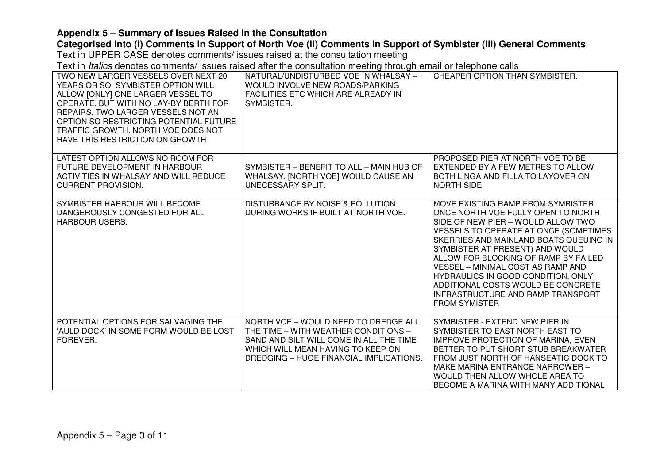# **Categorised into (i) Comments in Support of North Voe (ii) Comments in Support of Symbister (iii) General Comments**

Text in UPPER CASE denotes comments/ issues raised at the consultation meeting

| TWO NEW LARGER VESSELS OVER NEXT 20<br>YEARS OR SO. SYMBISTER OPTION WILL<br>ALLOW [ONLY] ONE LARGER VESSEL TO<br>OPERATE, BUT WITH NO LAY-BY BERTH FOR<br>REPAIRS. TWO LARGER VESSELS NOT AN<br>OPTION SO RESTRICTING POTENTIAL FUTURE<br>TRAFFIC GROWTH. NORTH VOE DOES NOT<br>HAVE THIS RESTRICTION ON GROWTH | NATURAL/UNDISTURBED VOE IN WHALSAY -<br>WOULD INVOLVE NEW ROADS/PARKING<br>FACILITIES ETC WHICH ARE ALREADY IN<br>SYMBISTER.                                                                            | CHEAPER OPTION THAN SYMBISTER.                                                                                                                                                                                                                                                                                                                                                                                                                                   |
|------------------------------------------------------------------------------------------------------------------------------------------------------------------------------------------------------------------------------------------------------------------------------------------------------------------|---------------------------------------------------------------------------------------------------------------------------------------------------------------------------------------------------------|------------------------------------------------------------------------------------------------------------------------------------------------------------------------------------------------------------------------------------------------------------------------------------------------------------------------------------------------------------------------------------------------------------------------------------------------------------------|
| LATEST OPTION ALLOWS NO ROOM FOR<br>FUTURE DEVELOPMENT IN HARBOUR<br>ACTIVITIES IN WHALSAY AND WILL REDUCE<br><b>CURRENT PROVISION.</b>                                                                                                                                                                          | SYMBISTER - BENEFIT TO ALL - MAIN HUB OF<br>WHALSAY. [NORTH VOE] WOULD CAUSE AN<br>UNECESSARY SPLIT.                                                                                                    | PROPOSED PIER AT NORTH VOE TO BE<br>EXTENDED BY A FEW METRES TO ALLOW<br>BOTH LINGA AND FILLA TO LAYOVER ON<br><b>NORTH SIDE</b>                                                                                                                                                                                                                                                                                                                                 |
| SYMBISTER HARBOUR WILL BECOME<br>DANGEROUSLY CONGESTED FOR ALL<br><b>HARBOUR USERS.</b>                                                                                                                                                                                                                          | <b>DISTURBANCE BY NOISE &amp; POLLUTION</b><br>DURING WORKS IF BUILT AT NORTH VOE.                                                                                                                      | MOVE EXISTING RAMP FROM SYMBISTER<br>ONCE NORTH VOE FULLY OPEN TO NORTH<br>SIDE OF NEW PIER - WOULD ALLOW TWO<br>VESSELS TO OPERATE AT ONCE (SOMETIMES<br>SKERRIES AND MAINLAND BOATS QUEUING IN<br>SYMBISTER AT PRESENT) AND WOULD<br>ALLOW FOR BLOCKING OF RAMP BY FAILED<br><b>VESSEL - MINIMAL COST AS RAMP AND</b><br>HYDRAULICS IN GOOD CONDITION, ONLY<br>ADDITIONAL COSTS WOULD BE CONCRETE<br>INFRASTRUCTURE AND RAMP TRANSPORT<br><b>FROM SYMISTER</b> |
| POTENTIAL OPTIONS FOR SALVAGING THE<br>'AULD DOCK' IN SOME FORM WOULD BE LOST<br>FOREVER.                                                                                                                                                                                                                        | NORTH VOE - WOULD NEED TO DREDGE ALL<br>THE TIME - WITH WEATHER CONDITIONS -<br>SAND AND SILT WILL COME IN ALL THE TIME<br>WHICH WILL MEAN HAVING TO KEEP ON<br>DREDGING - HUGE FINANCIAL IMPLICATIONS. | SYMBISTER - EXTEND NEW PIER IN<br>SYMBISTER TO EAST NORTH EAST TO<br>IMPROVE PROTECTION OF MARINA, EVEN<br>BETTER TO PUT SHORT STUB BREAKWATER<br>FROM JUST NORTH OF HANSEATIC DOCK TO<br>MAKE MARINA ENTRANCE NARROWER -<br>WOULD THEN ALLOW WHOLE AREA TO<br>BECOME A MARINA WITH MANY ADDITIONAL                                                                                                                                                              |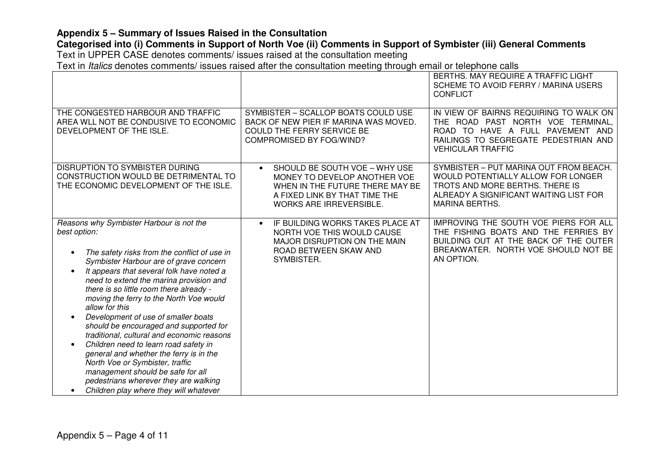# **Categorised into (i) Comments in Support of North Voe (ii) Comments in Support of Symbister (iii) General Comments**

Text in UPPER CASE denotes comments/ issues raised at the consultation meeting

|                                                                                                                                                                                                                                                                                                                                                                                                                                                                                                                                                                                                                                                                                                                                  |                                                                                                                                                                                  | BERTHS, MAY REQUIRE A TRAFFIC LIGHT<br>SCHEME TO AVOID FERRY / MARINA USERS<br><b>CONFLICT</b>                                                                                      |
|----------------------------------------------------------------------------------------------------------------------------------------------------------------------------------------------------------------------------------------------------------------------------------------------------------------------------------------------------------------------------------------------------------------------------------------------------------------------------------------------------------------------------------------------------------------------------------------------------------------------------------------------------------------------------------------------------------------------------------|----------------------------------------------------------------------------------------------------------------------------------------------------------------------------------|-------------------------------------------------------------------------------------------------------------------------------------------------------------------------------------|
| THE CONGESTED HARBOUR AND TRAFFIC<br>AREA WLL NOT BE CONDUSIVE TO ECONOMIC<br>DEVELOPMENT OF THE ISLE.                                                                                                                                                                                                                                                                                                                                                                                                                                                                                                                                                                                                                           | SYMBISTER - SCALLOP BOATS COULD USE<br>BACK OF NEW PIER IF MARINA WAS MOVED.<br><b>COULD THE FERRY SERVICE BE</b><br>COMPROMISED BY FOG/WIND?                                    | IN VIEW OF BAIRNS REQUIRING TO WALK ON<br>THE ROAD PAST NORTH VOE TERMINAL,<br>ROAD TO HAVE A FULL PAVEMENT AND<br>RAILINGS TO SEGREGATE PEDESTRIAN AND<br><b>VEHICULAR TRAFFIC</b> |
| DISRUPTION TO SYMBISTER DURING<br>CONSTRUCTION WOULD BE DETRIMENTAL TO<br>THE ECONOMIC DEVELOPMENT OF THE ISLE.                                                                                                                                                                                                                                                                                                                                                                                                                                                                                                                                                                                                                  | SHOULD BE SOUTH VOE - WHY USE<br>$\bullet$<br>MONEY TO DEVELOP ANOTHER VOE<br>WHEN IN THE FUTURE THERE MAY BE<br>A FIXED LINK BY THAT TIME THE<br><b>WORKS ARE IRREVERSIBLE.</b> | SYMBISTER - PUT MARINA OUT FROM BEACH.<br>WOULD POTENTIALLY ALLOW FOR LONGER<br>TROTS AND MORE BERTHS. THERE IS<br>ALREADY A SIGNIFICANT WAITING LIST FOR<br><b>MARINA BERTHS.</b>  |
| Reasons why Symbister Harbour is not the<br>best option:<br>The safety risks from the conflict of use in<br>Symbister Harbour are of grave concern<br>It appears that several folk have noted a<br>need to extend the marina provision and<br>there is so little room there already -<br>moving the ferry to the North Voe would<br>allow for this<br>Development of use of smaller boats<br>should be encouraged and supported for<br>traditional, cultural and economic reasons<br>Children need to learn road safety in<br>general and whether the ferry is in the<br>North Voe or Symbister, traffic<br>management should be safe for all<br>pedestrians wherever they are walking<br>Children play where they will whatever | IF BUILDING WORKS TAKES PLACE AT<br>$\bullet$<br>NORTH VOE THIS WOULD CAUSE<br>MAJOR DISRUPTION ON THE MAIN<br>ROAD BETWEEN SKAW AND<br>SYMBISTER.                               | IMPROVING THE SOUTH VOE PIERS FOR ALL<br>THE FISHING BOATS AND THE FERRIES BY<br>BUILDING OUT AT THE BACK OF THE OUTER<br>BREAKWATER. NORTH VOE SHOULD NOT BE<br>AN OPTION.         |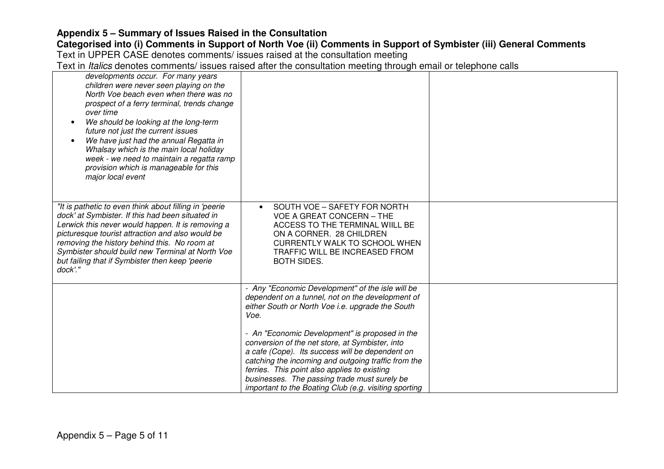# **Categorised into (i) Comments in Support of North Voe (ii) Comments in Support of Symbister (iii) General Comments**

Text in UPPER CASE denotes comments/ issues raised at the consultation meeting

| developments occur. For many years<br>children were never seen playing on the<br>North Voe beach even when there was no<br>prospect of a ferry terminal, trends change<br>over time<br>We should be looking at the long-term<br>$\bullet$<br>future not just the current issues<br>We have just had the annual Regatta in<br>$\bullet$<br>Whalsay which is the main local holiday<br>week - we need to maintain a regatta ramp<br>provision which is manageable for this<br>major local event |                                                                                                                                                                                                                                                                                                                                                                      |  |
|-----------------------------------------------------------------------------------------------------------------------------------------------------------------------------------------------------------------------------------------------------------------------------------------------------------------------------------------------------------------------------------------------------------------------------------------------------------------------------------------------|----------------------------------------------------------------------------------------------------------------------------------------------------------------------------------------------------------------------------------------------------------------------------------------------------------------------------------------------------------------------|--|
| "It is pathetic to even think about filling in 'peerie"<br>dock' at Symbister. If this had been situated in<br>Lerwick this never would happen. It is removing a<br>picturesque tourist attraction and also would be<br>removing the history behind this. No room at<br>Symbister should build new Terminal at North Voe<br>but failing that if Symbister then keep 'peerie<br>dock'.'                                                                                                        | SOUTH VOE - SAFETY FOR NORTH<br>$\bullet$<br><b>VOE A GREAT CONCERN - THE</b><br>ACCESS TO THE TERMINAL WIILL BE<br>ON A CORNER. 28 CHILDREN<br>CURRENTLY WALK TO SCHOOL WHEN<br>TRAFFIC WILL BE INCREASED FROM<br><b>BOTH SIDES.</b>                                                                                                                                |  |
|                                                                                                                                                                                                                                                                                                                                                                                                                                                                                               | - Any "Economic Development" of the isle will be<br>dependent on a tunnel, not on the development of<br>either South or North Voe i.e. upgrade the South<br>Voe.                                                                                                                                                                                                     |  |
|                                                                                                                                                                                                                                                                                                                                                                                                                                                                                               | - An "Economic Development" is proposed in the<br>conversion of the net store, at Symbister, into<br>a cafe (Cope). Its success will be dependent on<br>catching the incoming and outgoing traffic from the<br>ferries. This point also applies to existing<br>businesses. The passing trade must surely be<br>important to the Boating Club (e.g. visiting sporting |  |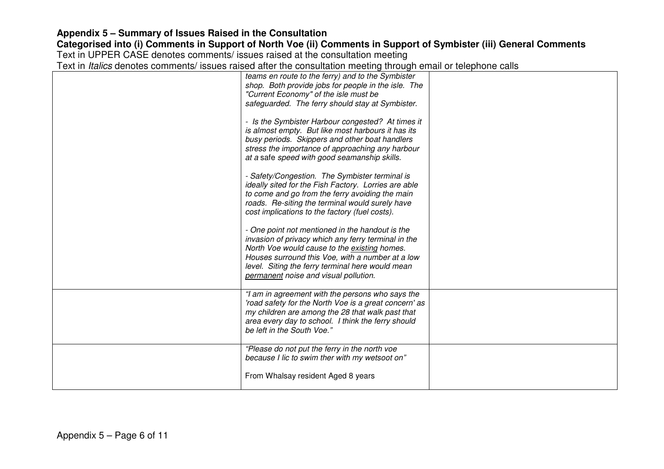| teams en route to the ferry) and to the Symbister                                                         |  |
|-----------------------------------------------------------------------------------------------------------|--|
| shop. Both provide jobs for people in the isle. The                                                       |  |
| "Current Economy" of the isle must be                                                                     |  |
| safeguarded. The ferry should stay at Symbister.                                                          |  |
| - Is the Symbister Harbour congested? At times it                                                         |  |
| is almost empty. But like most harbours it has its                                                        |  |
| busy periods. Skippers and other boat handlers                                                            |  |
| stress the importance of approaching any harbour                                                          |  |
| at a safe speed with good seamanship skills.                                                              |  |
| - Safety/Congestion. The Symbister terminal is                                                            |  |
| ideally sited for the Fish Factory. Lorries are able                                                      |  |
| to come and go from the ferry avoiding the main                                                           |  |
| roads. Re-siting the terminal would surely have                                                           |  |
| cost implications to the factory (fuel costs).                                                            |  |
|                                                                                                           |  |
| - One point not mentioned in the handout is the                                                           |  |
| invasion of privacy which any ferry terminal in the                                                       |  |
| North Voe would cause to the existing homes.                                                              |  |
| Houses surround this Voe, with a number at a low                                                          |  |
| level. Siting the ferry terminal here would mean                                                          |  |
| permanent noise and visual pollution.                                                                     |  |
|                                                                                                           |  |
| "I am in agreement with the persons who says the                                                          |  |
| 'road safety for the North Voe is a great concern' as<br>my children are among the 28 that walk past that |  |
|                                                                                                           |  |
| area every day to school. I think the ferry should<br>be left in the South Voe."                          |  |
|                                                                                                           |  |
| "Please do not put the ferry in the north voe                                                             |  |
| because I lic to swim ther with my wetsoot on"                                                            |  |
|                                                                                                           |  |
| From Whalsay resident Aged 8 years                                                                        |  |
|                                                                                                           |  |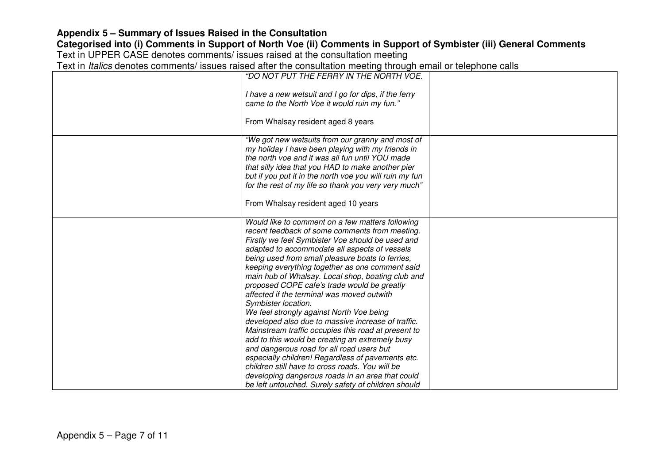| "DO NOT PUT THE FERRY IN THE NORTH VOE.                                                                                                                                                                                                                                                                                                                                                                                                                                                                                                                                                                                                                                                                                                                                                                                                                                                                                                                             |  |
|---------------------------------------------------------------------------------------------------------------------------------------------------------------------------------------------------------------------------------------------------------------------------------------------------------------------------------------------------------------------------------------------------------------------------------------------------------------------------------------------------------------------------------------------------------------------------------------------------------------------------------------------------------------------------------------------------------------------------------------------------------------------------------------------------------------------------------------------------------------------------------------------------------------------------------------------------------------------|--|
| I have a new wetsuit and I go for dips, if the ferry<br>came to the North Voe it would ruin my fun."                                                                                                                                                                                                                                                                                                                                                                                                                                                                                                                                                                                                                                                                                                                                                                                                                                                                |  |
| From Whalsay resident aged 8 years                                                                                                                                                                                                                                                                                                                                                                                                                                                                                                                                                                                                                                                                                                                                                                                                                                                                                                                                  |  |
| "We got new wetsuits from our granny and most of<br>my holiday I have been playing with my friends in<br>the north voe and it was all fun until YOU made<br>that silly idea that you HAD to make another pier<br>but if you put it in the north voe you will ruin my fun<br>for the rest of my life so thank you very very much"<br>From Whalsay resident aged 10 years                                                                                                                                                                                                                                                                                                                                                                                                                                                                                                                                                                                             |  |
|                                                                                                                                                                                                                                                                                                                                                                                                                                                                                                                                                                                                                                                                                                                                                                                                                                                                                                                                                                     |  |
| Would like to comment on a few matters following<br>recent feedback of some comments from meeting.<br>Firstly we feel Symbister Voe should be used and<br>adapted to accommodate all aspects of vessels<br>being used from small pleasure boats to ferries,<br>keeping everything together as one comment said<br>main hub of Whalsay. Local shop, boating club and<br>proposed COPE cafe's trade would be greatly<br>affected if the terminal was moved outwith<br>Symbister location.<br>We feel strongly against North Voe being<br>developed also due to massive increase of traffic.<br>Mainstream traffic occupies this road at present to<br>add to this would be creating an extremely busy<br>and dangerous road for all road users but<br>especially children! Regardless of pavements etc.<br>children still have to cross roads. You will be<br>developing dangerous roads in an area that could<br>be left untouched. Surely safety of children should |  |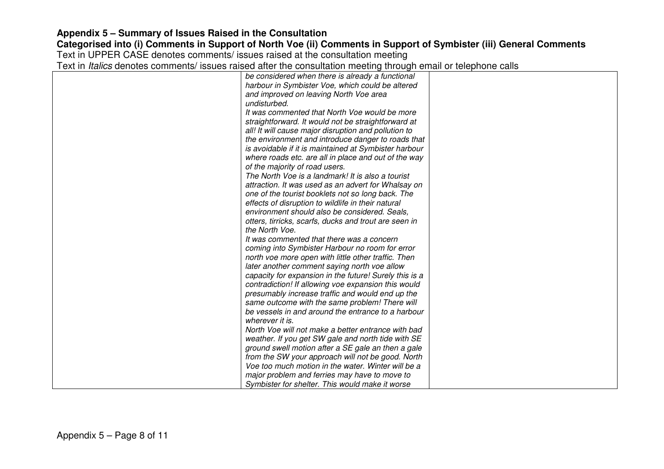| be considered when there is already a functional                                                                                                                                                                                                                                                                                                                                |  |
|---------------------------------------------------------------------------------------------------------------------------------------------------------------------------------------------------------------------------------------------------------------------------------------------------------------------------------------------------------------------------------|--|
| harbour in Symbister Voe, which could be altered                                                                                                                                                                                                                                                                                                                                |  |
| and improved on leaving North Voe area                                                                                                                                                                                                                                                                                                                                          |  |
| undisturbed.                                                                                                                                                                                                                                                                                                                                                                    |  |
| It was commented that North Voe would be more                                                                                                                                                                                                                                                                                                                                   |  |
| straightforward. It would not be straightforward at                                                                                                                                                                                                                                                                                                                             |  |
| all! It will cause major disruption and pollution to                                                                                                                                                                                                                                                                                                                            |  |
| the environment and introduce danger to roads that                                                                                                                                                                                                                                                                                                                              |  |
| is avoidable if it is maintained at Symbister harbour                                                                                                                                                                                                                                                                                                                           |  |
| where roads etc. are all in place and out of the way                                                                                                                                                                                                                                                                                                                            |  |
| of the majority of road users.                                                                                                                                                                                                                                                                                                                                                  |  |
| The North Voe is a landmark! It is also a tourist                                                                                                                                                                                                                                                                                                                               |  |
| attraction. It was used as an advert for Whalsay on                                                                                                                                                                                                                                                                                                                             |  |
| one of the tourist booklets not so long back. The                                                                                                                                                                                                                                                                                                                               |  |
| effects of disruption to wildlife in their natural                                                                                                                                                                                                                                                                                                                              |  |
| environment should also be considered. Seals,                                                                                                                                                                                                                                                                                                                                   |  |
| otters, tirricks, scarfs, ducks and trout are seen in                                                                                                                                                                                                                                                                                                                           |  |
| the North Voe.                                                                                                                                                                                                                                                                                                                                                                  |  |
| It was commented that there was a concern                                                                                                                                                                                                                                                                                                                                       |  |
| coming into Symbister Harbour no room for error                                                                                                                                                                                                                                                                                                                                 |  |
| north voe more open with little other traffic. Then                                                                                                                                                                                                                                                                                                                             |  |
| later another comment saying north voe allow                                                                                                                                                                                                                                                                                                                                    |  |
| capacity for expansion in the future! Surely this is a                                                                                                                                                                                                                                                                                                                          |  |
|                                                                                                                                                                                                                                                                                                                                                                                 |  |
|                                                                                                                                                                                                                                                                                                                                                                                 |  |
| same outcome with the same problem! There will                                                                                                                                                                                                                                                                                                                                  |  |
|                                                                                                                                                                                                                                                                                                                                                                                 |  |
| wherever it is.                                                                                                                                                                                                                                                                                                                                                                 |  |
| North Voe will not make a better entrance with bad                                                                                                                                                                                                                                                                                                                              |  |
|                                                                                                                                                                                                                                                                                                                                                                                 |  |
|                                                                                                                                                                                                                                                                                                                                                                                 |  |
|                                                                                                                                                                                                                                                                                                                                                                                 |  |
| Voe too much motion in the water. Winter will be a                                                                                                                                                                                                                                                                                                                              |  |
|                                                                                                                                                                                                                                                                                                                                                                                 |  |
| Symbister for shelter. This would make it worse                                                                                                                                                                                                                                                                                                                                 |  |
| contradiction! If allowing voe expansion this would<br>presumably increase traffic and would end up the<br>be vessels in and around the entrance to a harbour<br>weather. If you get SW gale and north tide with SE<br>ground swell motion after a SE gale an then a gale<br>from the SW your approach will not be good. North<br>major problem and ferries may have to move to |  |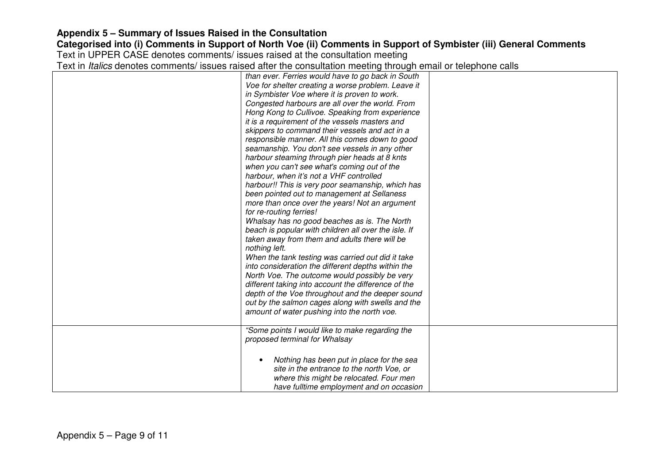| than ever. Ferries would have to go back in South      |  |
|--------------------------------------------------------|--|
| Voe for shelter creating a worse problem. Leave it     |  |
| in Symbister Voe where it is proven to work.           |  |
| Congested harbours are all over the world. From        |  |
| Hong Kong to Cullivoe. Speaking from experience        |  |
| it is a requirement of the vessels masters and         |  |
| skippers to command their vessels and act in a         |  |
| responsible manner. All this comes down to good        |  |
| seamanship. You don't see vessels in any other         |  |
| harbour steaming through pier heads at 8 knts          |  |
| when you can't see what's coming out of the            |  |
| harbour, when it's not a VHF controlled                |  |
| harbour!! This is very poor seamanship, which has      |  |
| been pointed out to management at Sellaness            |  |
| more than once over the years! Not an argument         |  |
| for re-routing ferries!                                |  |
| Whalsay has no good beaches as is. The North           |  |
| beach is popular with children all over the isle. If   |  |
| taken away from them and adults there will be          |  |
| nothing left.                                          |  |
| When the tank testing was carried out did it take      |  |
| into consideration the different depths within the     |  |
| North Voe. The outcome would possibly be very          |  |
| different taking into account the difference of the    |  |
|                                                        |  |
| depth of the Voe throughout and the deeper sound       |  |
| out by the salmon cages along with swells and the      |  |
| amount of water pushing into the north voe.            |  |
|                                                        |  |
| "Some points I would like to make regarding the        |  |
| proposed terminal for Whalsay                          |  |
|                                                        |  |
| Nothing has been put in place for the sea<br>$\bullet$ |  |
| site in the entrance to the north Voe, or              |  |
| where this might be relocated. Four men                |  |
| have fulltime employment and on occasion               |  |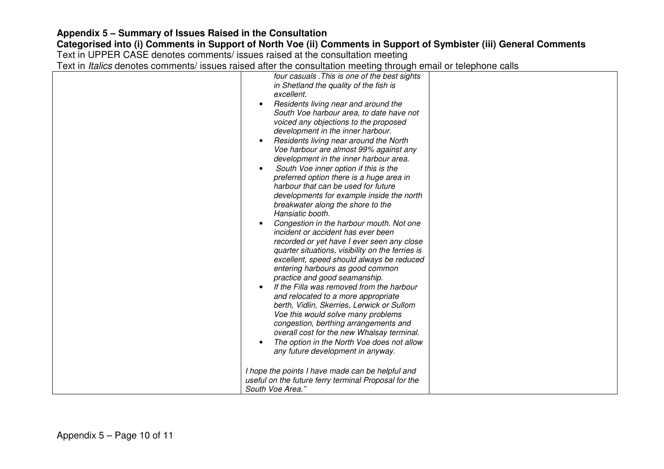# **Categorised into (i) Comments in Support of North Voe (ii) Comments in Support of Symbister (iii) General Comments**

Text in UPPER CASE denotes comments/ issues raised at the consultation meeting

| four casuals. This is one of the best sights<br>in Shetland the quality of the fish is<br>excellent.<br>Residents living near and around the<br>$\bullet$<br>South Voe harbour area, to date have not<br>voiced any objections to the proposed<br>development in the inner harbour.<br>Residents living near around the North<br>Voe harbour are almost 99% against any<br>development in the inner harbour area.<br>South Voe inner option if this is the<br>$\bullet$<br>preferred option there is a huge area in<br>harbour that can be used for future<br>developments for example inside the north<br>breakwater along the shore to the<br>Hansiatic booth.<br>Congestion in the harbour mouth. Not one<br>incident or accident has ever been<br>recorded or yet have I ever seen any close<br>quarter situations, visibility on the ferries is<br>excellent, speed should always be reduced<br>entering harbours as good common<br>practice and good seamanship.<br>If the Filla was removed from the harbour<br>and relocated to a more appropriate<br>berth, Vidlin, Skerries, Lerwick or Sullom<br>Voe this would solve many problems<br>congestion, berthing arrangements and<br>overall cost for the new Whalsay terminal. |  |
|---------------------------------------------------------------------------------------------------------------------------------------------------------------------------------------------------------------------------------------------------------------------------------------------------------------------------------------------------------------------------------------------------------------------------------------------------------------------------------------------------------------------------------------------------------------------------------------------------------------------------------------------------------------------------------------------------------------------------------------------------------------------------------------------------------------------------------------------------------------------------------------------------------------------------------------------------------------------------------------------------------------------------------------------------------------------------------------------------------------------------------------------------------------------------------------------------------------------------------------|--|
| The option in the North Voe does not allow<br>any future development in anyway.<br>I hope the points I have made can be helpful and<br>useful on the future ferry terminal Proposal for the                                                                                                                                                                                                                                                                                                                                                                                                                                                                                                                                                                                                                                                                                                                                                                                                                                                                                                                                                                                                                                           |  |
| South Voe Area."                                                                                                                                                                                                                                                                                                                                                                                                                                                                                                                                                                                                                                                                                                                                                                                                                                                                                                                                                                                                                                                                                                                                                                                                                      |  |